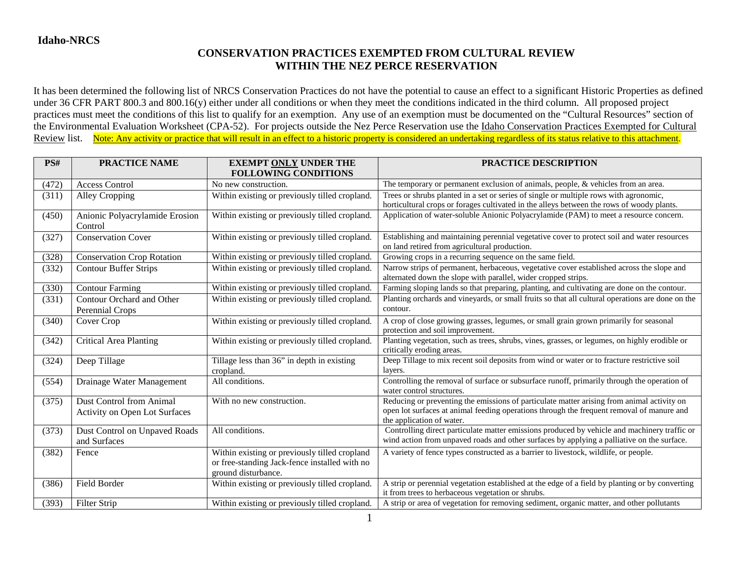## **CONSERVATION PRACTICES EXEMPTED FROM CULTURAL REVIEW WITHIN THE NEZ PERCE RESERVATION**

It has been determined the following list of NRCS Conservation Practices do not have the potential to cause an effect to a significant Historic Properties as defined under 36 CFR PART 800.3 and 800.16(y) either under all conditions or when they meet the conditions indicated in the third column. All proposed project practices must meet the conditions of this list to qualify for an exemption. Any use of an exemption must be documented on the "Cultural Resources" section of the Environmental Evaluation Worksheet (CPA-52). For projects outside the Nez Perce Reservation use the Idaho Conservation Practices Exempted for Cultural Review list. Note: Any activity or practice that will result in an effect to a historic property is considered an undertaking regardless of its status relative to this attachment.

| PS#   | <b>PRACTICE NAME</b>                                                    | <b>EXEMPT ONLY UNDER THE</b><br><b>FOLLOWING CONDITIONS</b>                                                           | <b>PRACTICE DESCRIPTION</b>                                                                                                                                                                                          |
|-------|-------------------------------------------------------------------------|-----------------------------------------------------------------------------------------------------------------------|----------------------------------------------------------------------------------------------------------------------------------------------------------------------------------------------------------------------|
| (472) | <b>Access Control</b>                                                   | No new construction.                                                                                                  | The temporary or permanent exclusion of animals, people, & vehicles from an area.                                                                                                                                    |
| (311) | Alley Cropping                                                          | Within existing or previously tilled cropland.                                                                        | Trees or shrubs planted in a set or series of single or multiple rows with agronomic,<br>horticultural crops or forages cultivated in the alleys between the rows of woody plants.                                   |
| (450) | Anionic Polyacrylamide Erosion<br>Control                               | Within existing or previously tilled cropland.                                                                        | Application of water-soluble Anionic Polyacrylamide (PAM) to meet a resource concern.                                                                                                                                |
| (327) | <b>Conservation Cover</b>                                               | Within existing or previously tilled cropland.                                                                        | Establishing and maintaining perennial vegetative cover to protect soil and water resources<br>on land retired from agricultural production.                                                                         |
| (328) | <b>Conservation Crop Rotation</b>                                       | Within existing or previously tilled cropland.                                                                        | Growing crops in a recurring sequence on the same field.                                                                                                                                                             |
| (332) | <b>Contour Buffer Strips</b>                                            | Within existing or previously tilled cropland.                                                                        | Narrow strips of permanent, herbaceous, vegetative cover established across the slope and<br>alternated down the slope with parallel, wider cropped strips.                                                          |
| (330) | <b>Contour Farming</b>                                                  | Within existing or previously tilled cropland.                                                                        | Farming sloping lands so that preparing, planting, and cultivating are done on the contour.                                                                                                                          |
| (331) | Contour Orchard and Other<br>Perennial Crops                            | Within existing or previously tilled cropland.                                                                        | Planting orchards and vineyards, or small fruits so that all cultural operations are done on the<br>contour.                                                                                                         |
| (340) | Cover Crop                                                              | Within existing or previously tilled cropland.                                                                        | A crop of close growing grasses, legumes, or small grain grown primarily for seasonal<br>protection and soil improvement.                                                                                            |
| (342) | <b>Critical Area Planting</b>                                           | Within existing or previously tilled cropland.                                                                        | Planting vegetation, such as trees, shrubs, vines, grasses, or legumes, on highly erodible or<br>critically eroding areas.                                                                                           |
| (324) | Deep Tillage                                                            | Tillage less than 36" in depth in existing<br>cropland.                                                               | Deep Tillage to mix recent soil deposits from wind or water or to fracture restrictive soil<br>layers.                                                                                                               |
| (554) | Drainage Water Management                                               | All conditions.                                                                                                       | Controlling the removal of surface or subsurface runoff, primarily through the operation of<br>water control structures.                                                                                             |
| (375) | <b>Dust Control from Animal</b><br><b>Activity on Open Lot Surfaces</b> | With no new construction.                                                                                             | Reducing or preventing the emissions of particulate matter arising from animal activity on<br>open lot surfaces at animal feeding operations through the frequent removal of manure and<br>the application of water. |
| (373) | Dust Control on Unpaved Roads<br>and Surfaces                           | All conditions.                                                                                                       | Controlling direct particulate matter emissions produced by vehicle and machinery traffic or<br>wind action from unpaved roads and other surfaces by applying a palliative on the surface.                           |
| (382) | Fence                                                                   | Within existing or previously tilled cropland<br>or free-standing Jack-fence installed with no<br>ground disturbance. | A variety of fence types constructed as a barrier to livestock, wildlife, or people.                                                                                                                                 |
| (386) | Field Border                                                            | Within existing or previously tilled cropland.                                                                        | A strip or perennial vegetation established at the edge of a field by planting or by converting<br>it from trees to herbaceous vegetation or shrubs.                                                                 |
| (393) | Filter Strip                                                            | Within existing or previously tilled cropland.                                                                        | A strip or area of vegetation for removing sediment, organic matter, and other pollutants                                                                                                                            |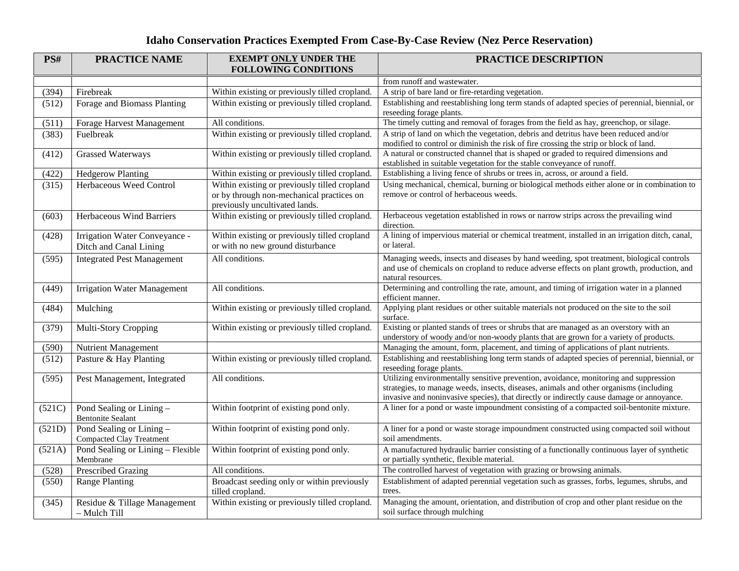## **Idaho Conservation Practices Exempted From Case-By-Case Review (Nez Perce Reservation)**

| PS#    | <b>PRACTICE NAME</b>                                        | <b>EXEMPT ONLY UNDER THE</b><br><b>FOLLOWING CONDITIONS</b>                                                                  | PRACTICE DESCRIPTION                                                                                                                                                                                                                                                         |
|--------|-------------------------------------------------------------|------------------------------------------------------------------------------------------------------------------------------|------------------------------------------------------------------------------------------------------------------------------------------------------------------------------------------------------------------------------------------------------------------------------|
|        |                                                             |                                                                                                                              | from runoff and wastewater.                                                                                                                                                                                                                                                  |
| (394)  | Firebreak                                                   | Within existing or previously tilled cropland.                                                                               | A strip of bare land or fire-retarding vegetation.                                                                                                                                                                                                                           |
| (512)  | Forage and Biomass Planting                                 | Within existing or previously tilled cropland.                                                                               | Establishing and reestablishing long term stands of adapted species of perennial, biennial, or<br>reseeding forage plants.                                                                                                                                                   |
| (511)  | Forage Harvest Management                                   | All conditions.                                                                                                              | The timely cutting and removal of forages from the field as hay, greenchop, or silage.                                                                                                                                                                                       |
| (383)  | Fuelbreak                                                   | Within existing or previously tilled cropland.                                                                               | A strip of land on which the vegetation, debris and detritus have been reduced and/or<br>modified to control or diminish the risk of fire crossing the strip or block of land.                                                                                               |
| (412)  | <b>Grassed Waterways</b>                                    | Within existing or previously tilled cropland.                                                                               | A natural or constructed channel that is shaped or graded to required dimensions and<br>established in suitable vegetation for the stable conveyance of runoff.                                                                                                              |
| (422)  | <b>Hedgerow Planting</b>                                    | Within existing or previously tilled cropland.                                                                               | Establishing a living fence of shrubs or trees in, across, or around a field.                                                                                                                                                                                                |
| (315)  | Herbaceous Weed Control                                     | Within existing or previously tilled cropland<br>or by through non-mechanical practices on<br>previously uncultivated lands. | Using mechanical, chemical, burning or biological methods either alone or in combination to<br>remove or control of herbaceous weeds.                                                                                                                                        |
| (603)  | Herbaceous Wind Barriers                                    | Within existing or previously tilled cropland.                                                                               | Herbaceous vegetation established in rows or narrow strips across the prevailing wind<br>direction.                                                                                                                                                                          |
| (428)  | Irrigation Water Conveyance -<br>Ditch and Canal Lining     | Within existing or previously tilled cropland<br>or with no new ground disturbance                                           | A lining of impervious material or chemical treatment, installed in an irrigation ditch, canal,<br>or lateral.                                                                                                                                                               |
| (595)  | <b>Integrated Pest Management</b>                           | All conditions.                                                                                                              | Managing weeds, insects and diseases by hand weeding, spot treatment, biological controls<br>and use of chemicals on cropland to reduce adverse effects on plant growth, production, and<br>natural resources.                                                               |
| (449)  | <b>Irrigation Water Management</b>                          | All conditions.                                                                                                              | Determining and controlling the rate, amount, and timing of irrigation water in a planned<br>efficient manner.                                                                                                                                                               |
| (484)  | Mulching                                                    | Within existing or previously tilled cropland.                                                                               | Applying plant residues or other suitable materials not produced on the site to the soil<br>surface.                                                                                                                                                                         |
| (379)  | Multi-Story Cropping                                        | Within existing or previously tilled cropland.                                                                               | Existing or planted stands of trees or shrubs that are managed as an overstory with an<br>understory of woody and/or non-woody plants that are grown for a variety of products.                                                                                              |
| (590)  | <b>Nutrient Management</b>                                  |                                                                                                                              | Managing the amount, form, placement, and timing of applications of plant nutrients.                                                                                                                                                                                         |
| (512)  | Pasture & Hay Planting                                      | Within existing or previously tilled cropland.                                                                               | Establishing and reestablishing long term stands of adapted species of perennial, biennial, or<br>reseeding forage plants.                                                                                                                                                   |
| (595)  | Pest Management, Integrated                                 | All conditions.                                                                                                              | Utilizing environmentally sensitive prevention, avoidance, monitoring and suppression<br>strategies, to manage weeds, insects, diseases, animals and other organisms (including<br>invasive and noninvasive species), that directly or indirectly cause damage or annoyance. |
| (521C) | Pond Sealing or Lining -<br><b>Bentonite Sealant</b>        | Within footprint of existing pond only.                                                                                      | A liner for a pond or waste impoundment consisting of a compacted soil-bentonite mixture.                                                                                                                                                                                    |
| (521D) | Pond Sealing or Lining -<br><b>Compacted Clay Treatment</b> | Within footprint of existing pond only.                                                                                      | A liner for a pond or waste storage impoundment constructed using compacted soil without<br>soil amendments.                                                                                                                                                                 |
| (521A) | Pond Sealing or Lining - Flexible<br>Membrane               | Within footprint of existing pond only.                                                                                      | A manufactured hydraulic barrier consisting of a functionally continuous layer of synthetic<br>or partially synthetic, flexible material.                                                                                                                                    |
| (528)  | <b>Prescribed Grazing</b>                                   | All conditions.                                                                                                              | The controlled harvest of vegetation with grazing or browsing animals.                                                                                                                                                                                                       |
| (550)  | <b>Range Planting</b>                                       | Broadcast seeding only or within previously<br>tilled cropland.                                                              | Establishment of adapted perennial vegetation such as grasses, forbs, legumes, shrubs, and<br>trees.                                                                                                                                                                         |
| (345)  | Residue & Tillage Management<br>- Mulch Till                | Within existing or previously tilled cropland.                                                                               | Managing the amount, orientation, and distribution of crop and other plant residue on the<br>soil surface through mulching                                                                                                                                                   |